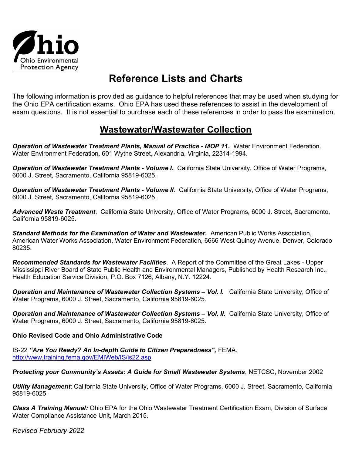

# Reference Lists and Charts

The following information is provided as guidance to helpful references that may be used when studying for the Ohio EPA certification exams. Ohio EPA has used these references to assist in the development of exam questions. It is not essential to purchase each of these references in order to pass the examination.

## Wastewater/Wastewater Collection

Operation of Wastewater Treatment Plants, Manual of Practice - MOP 11. Water Environment Federation. Water Environment Federation, 601 Wythe Street, Alexandria, Virginia, 22314-1994.

**Operation of Wastewater Treatment Plants - Volume I.** California State University, Office of Water Programs, 6000 J. Street, Sacramento, California 95819-6025.

**Operation of Wastewater Treatment Plants - Volume II**. California State University, Office of Water Programs, 6000 J. Street, Sacramento, California 95819-6025.

Advanced Waste Treatment. California State University, Office of Water Programs, 6000 J. Street, Sacramento, California 95819-6025.

Standard Methods for the Examination of Water and Wastewater. American Public Works Association, American Water Works Association, Water Environment Federation, 6666 West Quincy Avenue, Denver, Colorado 80235.

Recommended Standards for Wastewater Facilities. A Report of the Committee of the Great Lakes - Upper Mississippi River Board of State Public Health and Environmental Managers, Published by Health Research Inc., Health Education Service Division, P.O. Box 7126, Albany, N.Y. 12224.

Operation and Maintenance of Wastewater Collection Systems - Vol. I. California State University, Office of Water Programs, 6000 J. Street, Sacramento, California 95819-6025.

Operation and Maintenance of Wastewater Collection Systems - Vol. II. California State University, Office of Water Programs, 6000 J. Street, Sacramento, California 95819-6025.

### Ohio Revised Code and Ohio Administrative Code

IS-22 "Are You Ready? An In-depth Guide to Citizen Preparedness", FEMA. http://www.training.fema.gov/EMIWeb/IS/is22.asp

Protecting your Community's Assets: A Guide for Small Wastewater Systems, NETCSC, November 2002

Utility Management: California State University, Office of Water Programs, 6000 J. Street, Sacramento, California 95819-6025.

Class A Training Manual: Ohio EPA for the Ohio Wastewater Treatment Certification Exam, Division of Surface Water Compliance Assistance Unit, March 2015.

Revised February 2022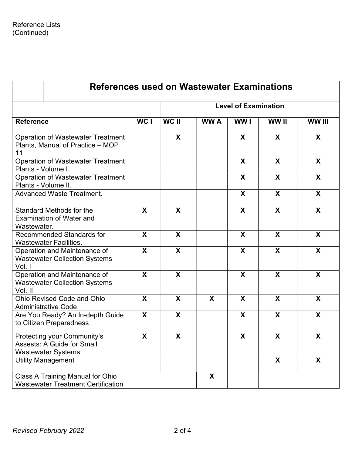| <b>References used on Wastewater Examinations</b>                                             |                           |                             |            |                           |                           |                           |  |
|-----------------------------------------------------------------------------------------------|---------------------------|-----------------------------|------------|---------------------------|---------------------------|---------------------------|--|
| <b>Reference</b>                                                                              |                           | <b>Level of Examination</b> |            |                           |                           |                           |  |
|                                                                                               | WC I                      | WC II                       | <b>WWA</b> | WW I                      | WW II                     | WW III                    |  |
| <b>Operation of Wastewater Treatment</b><br>Plants, Manual of Practice - MOP<br>11            |                           | X                           |            | $\boldsymbol{X}$          | X                         | X                         |  |
| <b>Operation of Wastewater Treatment</b><br>Plants - Volume I.                                |                           |                             |            | $\mathsf{X}$              | X                         | $\mathsf{X}$              |  |
| <b>Operation of Wastewater Treatment</b><br>Plants - Volume II.                               |                           |                             |            | X                         | X                         | X                         |  |
| <b>Advanced Waste Treatment.</b>                                                              |                           |                             |            | $\boldsymbol{X}$          | $\boldsymbol{\mathsf{X}}$ | $\boldsymbol{X}$          |  |
| Standard Methods for the<br><b>Examination of Water and</b><br>Wastewater.                    | X                         | X                           |            | $\boldsymbol{\mathsf{X}}$ | $\boldsymbol{\mathsf{X}}$ | $\boldsymbol{\mathsf{X}}$ |  |
| Recommended Standards for<br><b>Wastewater Facilities.</b>                                    | X                         | $\boldsymbol{X}$            |            | $\boldsymbol{\mathsf{X}}$ | $\boldsymbol{\mathsf{X}}$ | X                         |  |
| Operation and Maintenance of<br><b>Wastewater Collection Systems -</b><br>Vol. I              | X                         | X                           |            | X                         | X                         | X                         |  |
| Operation and Maintenance of<br><b>Wastewater Collection Systems -</b><br>Vol. II             | X                         | X                           |            | X                         | X                         | X                         |  |
| <b>Ohio Revised Code and Ohio</b><br><b>Administrative Code</b>                               | X                         | X                           | X          | X                         | X                         | X                         |  |
| Are You Ready? An In-depth Guide<br>to Citizen Preparedness                                   | $\boldsymbol{\mathsf{X}}$ | X                           |            | X                         | X                         | X                         |  |
| Protecting your Community's<br><b>Assests: A Guide for Small</b><br><b>Wastewater Systems</b> | X                         | X                           |            | X                         | X                         | X                         |  |
| <b>Utility Management</b>                                                                     |                           |                             |            |                           | $\boldsymbol{\mathsf{X}}$ | $\boldsymbol{\mathsf{X}}$ |  |
| <b>Class A Training Manual for Ohio</b><br><b>Wastewater Treatment Certification</b>          |                           |                             | X          |                           |                           |                           |  |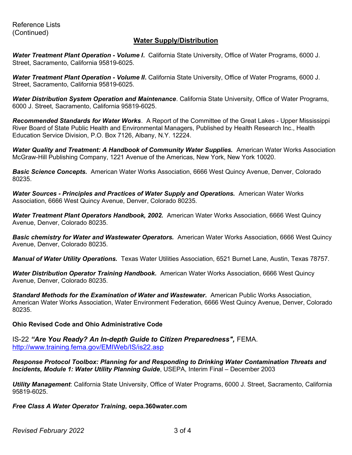#### Water Supply/Distribution

Water Treatment Plant Operation - Volume I. California State University, Office of Water Programs, 6000 J. Street, Sacramento, California 95819-6025.

Water Treatment Plant Operation - Volume II. California State University, Office of Water Programs, 6000 J. Street, Sacramento, California 95819-6025.

Water Distribution System Operation and Maintenance. California State University, Office of Water Programs, 6000 J. Street, Sacramento, California 95819-6025.

Recommended Standards for Water Works. A Report of the Committee of the Great Lakes - Upper Mississippi River Board of State Public Health and Environmental Managers, Published by Health Research Inc., Health Education Service Division, P.O. Box 7126, Albany, N.Y. 12224.

Water Quality and Treatment: A Handbook of Community Water Supplies. American Water Works Association McGraw-Hill Publishing Company, 1221 Avenue of the Americas, New York, New York 10020.

**Basic Science Concepts.** American Water Works Association, 6666 West Quincy Avenue, Denver, Colorado 80235.

Water Sources - Principles and Practices of Water Supply and Operations. American Water Works Association, 6666 West Quincy Avenue, Denver, Colorado 80235.

Water Treatment Plant Operators Handbook, 2002. American Water Works Association, 6666 West Quincy Avenue, Denver, Colorado 80235.

**Basic chemistry for Water and Wastewater Operators.** American Water Works Association, 6666 West Quincy Avenue, Denver, Colorado 80235.

Manual of Water Utility Operations. Texas Water Utilities Association, 6521 Burnet Lane, Austin, Texas 78757.

Water Distribution Operator Training Handbook. American Water Works Association, 6666 West Quincy Avenue, Denver, Colorado 80235.

Standard Methods for the Examination of Water and Wastewater. American Public Works Association, American Water Works Association, Water Environment Federation, 6666 West Quincy Avenue, Denver, Colorado 80235.

#### Ohio Revised Code and Ohio Administrative Code

IS-22 "Are You Ready? An In-depth Guide to Citizen Preparedness", FEMA. http://www.training.fema.gov/EMIWeb/IS/is22.asp

Response Protocol Toolbox: Planning for and Responding to Drinking Water Contamination Threats and Incidents, Module 1: Water Utility Planning Guide, USEPA, Interim Final – December 2003

Utility Management: California State University, Office of Water Programs, 6000 J. Street, Sacramento, California 95819-6025.

Free Class A Water Operator Training, oepa.360water.com